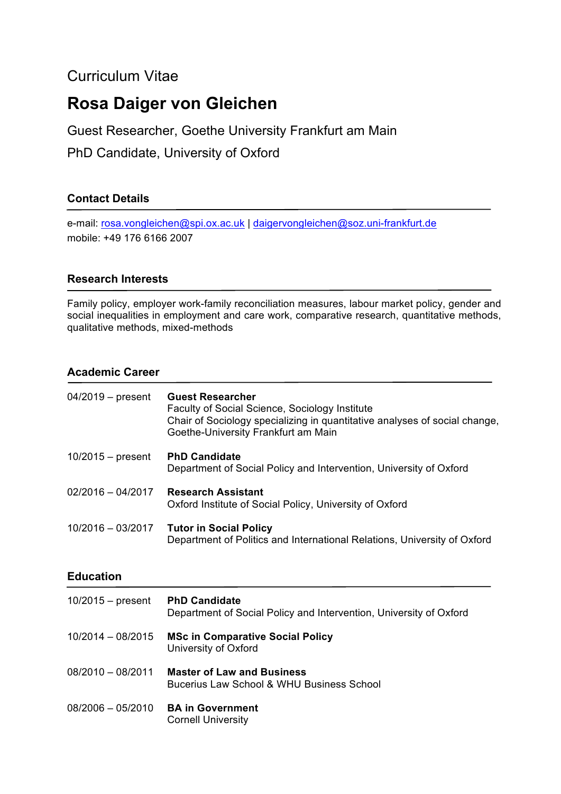## Curriculum Vitae

# **Rosa Daiger von Gleichen**

Guest Researcher, Goethe University Frankfurt am Main

PhD Candidate, University of Oxford

## **Contact Details**

e-mail: rosa.vongleichen@spi.ox.ac.uk | daigervongleichen@soz.uni-frankfurt.de mobile: +49 176 6166 2007

## **Research Interests**

Family policy, employer work-family reconciliation measures, labour market policy, gender and social inequalities in employment and care work, comparative research, quantitative methods, qualitative methods, mixed-methods

## **Academic Career**

| $04/2019$ – present | <b>Guest Researcher</b><br>Faculty of Social Science, Sociology Institute<br>Chair of Sociology specializing in quantitative analyses of social change,<br>Goethe-University Frankfurt am Main |
|---------------------|------------------------------------------------------------------------------------------------------------------------------------------------------------------------------------------------|
| $10/2015 - present$ | <b>PhD Candidate</b><br>Department of Social Policy and Intervention, University of Oxford                                                                                                     |
| $02/2016 - 04/2017$ | <b>Research Assistant</b><br>Oxford Institute of Social Policy, University of Oxford                                                                                                           |
| 10/2016 - 03/2017   | <b>Tutor in Social Policy</b><br>Department of Politics and International Relations, University of Oxford                                                                                      |
|                     |                                                                                                                                                                                                |
| <b>Education</b>    |                                                                                                                                                                                                |
| $10/2015 -$ present | <b>PhD Candidate</b><br>Department of Social Policy and Intervention, University of Oxford                                                                                                     |
| $10/2014 - 08/2015$ | <b>MSc in Comparative Social Policy</b><br>University of Oxford                                                                                                                                |
| $08/2010 - 08/2011$ | <b>Master of Law and Business</b><br>Bucerius Law School & WHU Business School                                                                                                                 |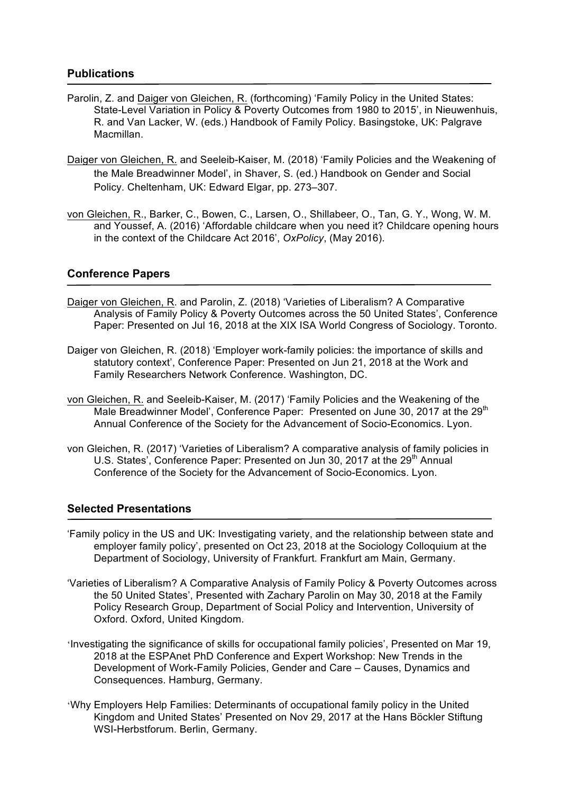#### **Publications**

- Parolin, Z. and Daiger von Gleichen, R. (forthcoming) 'Family Policy in the United States: State-Level Variation in Policy & Poverty Outcomes from 1980 to 2015', in Nieuwenhuis, R. and Van Lacker, W. (eds.) Handbook of Family Policy. Basingstoke, UK: Palgrave Macmillan.
- Daiger von Gleichen, R. and Seeleib-Kaiser, M. (2018) 'Family Policies and the Weakening of the Male Breadwinner Model', in Shaver, S. (ed.) Handbook on Gender and Social Policy. Cheltenham, UK: Edward Elgar, pp. 273–307.
- von Gleichen, R., Barker, C., Bowen, C., Larsen, O., Shillabeer, O., Tan, G. Y., Wong, W. M. and Youssef, A. (2016) 'Affordable childcare when you need it? Childcare opening hours in the context of the Childcare Act 2016', *OxPolicy*, (May 2016).

#### **Conference Papers**

- Daiger von Gleichen, R. and Parolin, Z. (2018) 'Varieties of Liberalism? A Comparative Analysis of Family Policy & Poverty Outcomes across the 50 United States', Conference Paper: Presented on Jul 16, 2018 at the XIX ISA World Congress of Sociology. Toronto.
- Daiger von Gleichen, R. (2018) 'Employer work-family policies: the importance of skills and statutory context', Conference Paper: Presented on Jun 21, 2018 at the Work and Family Researchers Network Conference. Washington, DC.
- von Gleichen, R. and Seeleib-Kaiser, M. (2017) 'Family Policies and the Weakening of the Male Breadwinner Model', Conference Paper: Presented on June 30, 2017 at the 29<sup>th</sup> Annual Conference of the Society for the Advancement of Socio-Economics. Lyon.
- von Gleichen, R. (2017) 'Varieties of Liberalism? A comparative analysis of family policies in U.S. States', Conference Paper: Presented on Jun 30, 2017 at the 29<sup>th</sup> Annual Conference of the Society for the Advancement of Socio-Economics. Lyon.

#### **Selected Presentations**

- 'Family policy in the US and UK: Investigating variety, and the relationship between state and employer family policy', presented on Oct 23, 2018 at the Sociology Colloquium at the Department of Sociology, University of Frankfurt. Frankfurt am Main, Germany.
- 'Varieties of Liberalism? A Comparative Analysis of Family Policy & Poverty Outcomes across the 50 United States', Presented with Zachary Parolin on May 30, 2018 at the Family Policy Research Group, Department of Social Policy and Intervention, University of Oxford. Oxford, United Kingdom.
- 'Investigating the significance of skills for occupational family policies', Presented on Mar 19, 2018 at the ESPAnet PhD Conference and Expert Workshop: New Trends in the Development of Work-Family Policies, Gender and Care – Causes, Dynamics and Consequences. Hamburg, Germany.
- 'Why Employers Help Families: Determinants of occupational family policy in the United Kingdom and United States' Presented on Nov 29, 2017 at the Hans Böckler Stiftung WSI-Herbstforum. Berlin, Germany.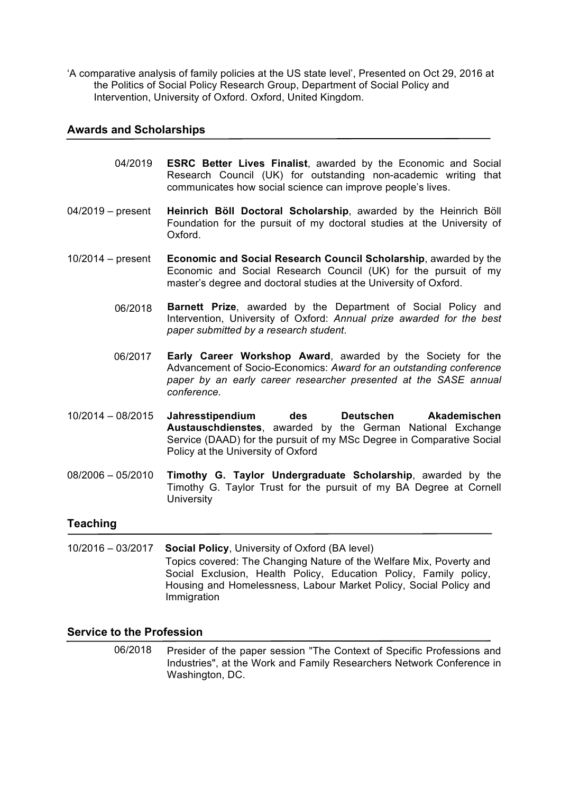'A comparative analysis of family policies at the US state level', Presented on Oct 29, 2016 at the Politics of Social Policy Research Group, Department of Social Policy and Intervention, University of Oxford. Oxford, United Kingdom.

#### **Awards and Scholarships**

- 04/2019 **ESRC Better Lives Finalist**, awarded by the Economic and Social Research Council (UK) for outstanding non-academic writing that communicates how social science can improve people's lives.
- 04/2019 present **Heinrich Böll Doctoral Scholarship**, awarded by the Heinrich Böll Foundation for the pursuit of my doctoral studies at the University of Oxford.
- 10/2014 present **Economic and Social Research Council Scholarship**, awarded by the Economic and Social Research Council (UK) for the pursuit of my master's degree and doctoral studies at the University of Oxford.
	- **Barnett Prize**, awarded by the Department of Social Policy and Intervention, University of Oxford: *Annual prize awarded for the best paper submitted by a research student*. 06/2018
	- **Early Career Workshop Award**, awarded by the Society for the Advancement of Socio-Economics: *Award for an outstanding conference paper by an early career researcher presented at the SASE annual conference.* 06/2017
- 10/2014 08/2015 **Jahresstipendium des Deutschen Akademischen Austauschdienstes**, awarded by the German National Exchange Service (DAAD) for the pursuit of my MSc Degree in Comparative Social Policy at the University of Oxford
- 08/2006 05/2010 **Timothy G. Taylor Undergraduate Scholarship**, awarded by the Timothy G. Taylor Trust for the pursuit of my BA Degree at Cornell **University**

#### **Teaching**

10/2016 – 03/2017 **Social Policy**, University of Oxford (BA level) Topics covered: The Changing Nature of the Welfare Mix, Poverty and Social Exclusion, Health Policy, Education Policy, Family policy, Housing and Homelessness, Labour Market Policy, Social Policy and Immigration

#### **Service to the Profession**

Presider of the paper session "The Context of Specific Professions and Industries", at the Work and Family Researchers Network Conference in Washington, DC. 06/2018